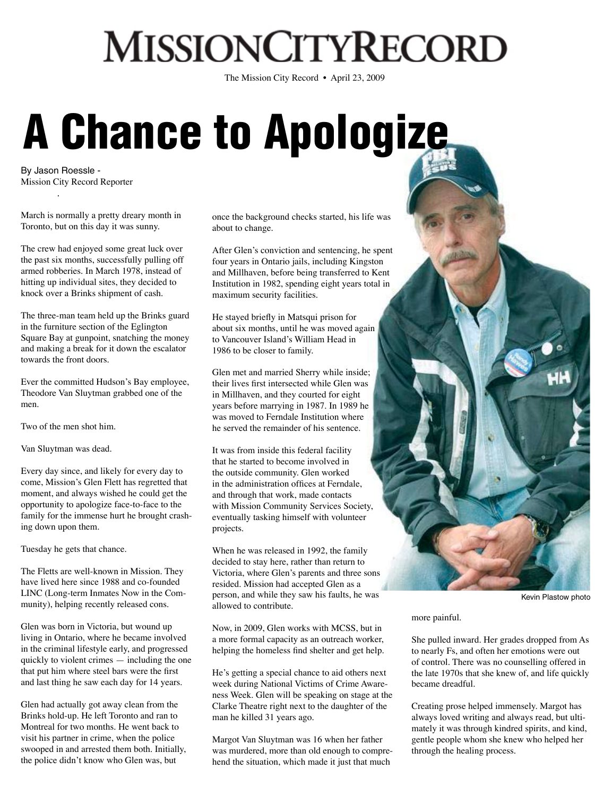## **MISSIONCITYRECORD**

The Mission City Record • April 23, 2009

## A Chance to Apologize

By Jason Roessle - Mission City Record Reporter

March is normally a pretty dreary month in Toronto, but on this day it was sunny.

The crew had enjoyed some great luck over the past six months, successfully pulling off armed robberies. In March 1978, instead of hitting up individual sites, they decided to knock over a Brinks shipment of cash.

The three-man team held up the Brinks guard in the furniture section of the Eglington Square Bay at gunpoint, snatching the money and making a break for it down the escalator towards the front doors.

Ever the committed Hudson's Bay employee, Theodore Van Sluytman grabbed one of the men.

Two of the men shot him.

Van Sluytman was dead.

Every day since, and likely for every day to come, Mission's Glen Flett has regretted that moment, and always wished he could get the opportunity to apologize face-to-face to the family for the immense hurt he brought crashing down upon them.

Tuesday he gets that chance.

The Fletts are well-known in Mission. They have lived here since 1988 and co-founded LINC (Long-term Inmates Now in the Community), helping recently released cons.

Glen was born in Victoria, but wound up living in Ontario, where he became involved in the criminal lifestyle early, and progressed quickly to violent crimes — including the one that put him where steel bars were the first and last thing he saw each day for 14 years.

Glen had actually got away clean from the Brinks hold-up. He left Toronto and ran to Montreal for two months. He went back to visit his partner in crime, when the police swooped in and arrested them both. Initially, the police didn't know who Glen was, but

once the background checks started, his life was about to change.

After Glen's conviction and sentencing, he spent four years in Ontario jails, including Kingston and Millhaven, before being transferred to Kent Institution in 1982, spending eight years total in maximum security facilities.

He stayed briefly in Matsqui prison for about six months, until he was moved again to Vancouver Island's William Head in 1986 to be closer to family.

Glen met and married Sherry while inside; their lives first intersected while Glen was in Millhaven, and they courted for eight years before marrying in 1987. In 1989 he was moved to Ferndale Institution where he served the remainder of his sentence.

It was from inside this federal facility that he started to become involved in the outside community. Glen worked in the administration offices at Ferndale, and through that work, made contacts with Mission Community Services Society, eventually tasking himself with volunteer projects.

When he was released in 1992, the family decided to stay here, rather than return to Victoria, where Glen's parents and three sons resided. Mission had accepted Glen as a person, and while they saw his faults, he was allowed to contribute.

Now, in 2009, Glen works with MCSS, but in a more formal capacity as an outreach worker, helping the homeless find shelter and get help.

He's getting a special chance to aid others next week during National Victims of Crime Awareness Week. Glen will be speaking on stage at the Clarke Theatre right next to the daughter of the man he killed 31 years ago.

Margot Van Sluytman was 16 when her father was murdered, more than old enough to comprehend the situation, which made it just that much



Kevin Plastow photo

more painful.

She pulled inward. Her grades dropped from As to nearly Fs, and often her emotions were out of control. There was no counselling offered in the late 1970s that she knew of, and life quickly became dreadful.

Creating prose helped immensely. Margot has always loved writing and always read, but ultimately it was through kindred spirits, and kind, gentle people whom she knew who helped her through the healing process.